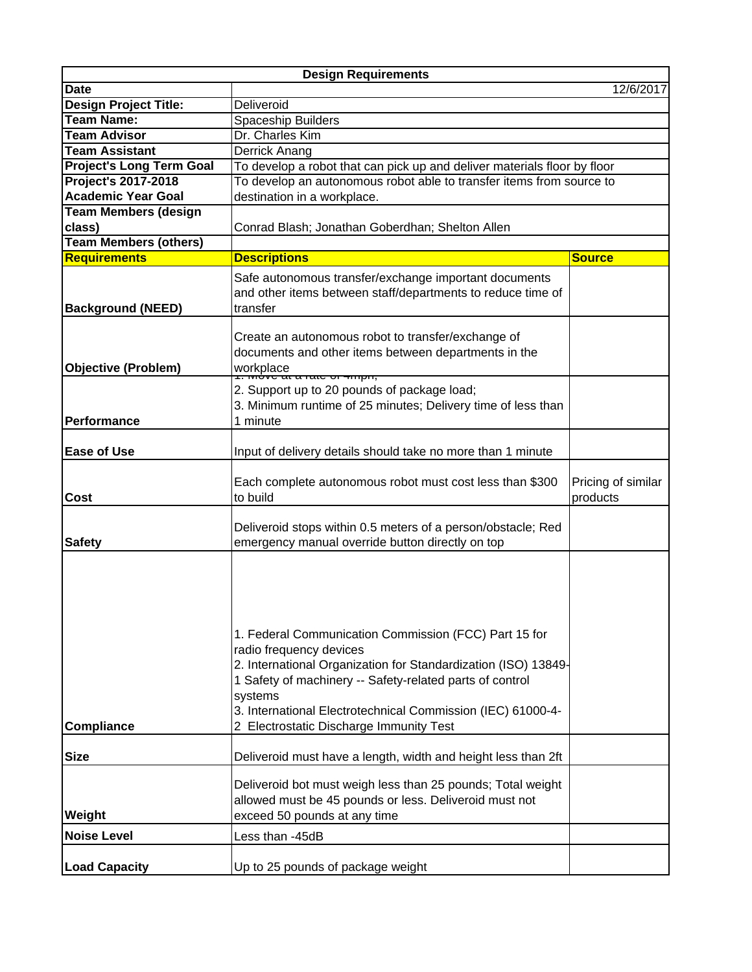| <b>Design Requirements</b>      |                                                                                                                                                                                                                                                                                                                                     |                                |  |
|---------------------------------|-------------------------------------------------------------------------------------------------------------------------------------------------------------------------------------------------------------------------------------------------------------------------------------------------------------------------------------|--------------------------------|--|
| <b>Date</b>                     | 12/6/2017                                                                                                                                                                                                                                                                                                                           |                                |  |
| <b>Design Project Title:</b>    | Deliveroid                                                                                                                                                                                                                                                                                                                          |                                |  |
| <b>Team Name:</b>               | Spaceship Builders                                                                                                                                                                                                                                                                                                                  |                                |  |
| <b>Team Advisor</b>             | Dr. Charles Kim                                                                                                                                                                                                                                                                                                                     |                                |  |
| <b>Team Assistant</b>           | Derrick Anang                                                                                                                                                                                                                                                                                                                       |                                |  |
| <b>Project's Long Term Goal</b> | To develop a robot that can pick up and deliver materials floor by floor                                                                                                                                                                                                                                                            |                                |  |
| Project's 2017-2018             | To develop an autonomous robot able to transfer items from source to                                                                                                                                                                                                                                                                |                                |  |
| <b>Academic Year Goal</b>       | destination in a workplace.                                                                                                                                                                                                                                                                                                         |                                |  |
| <b>Team Members (design</b>     |                                                                                                                                                                                                                                                                                                                                     |                                |  |
| class)                          | Conrad Blash; Jonathan Goberdhan; Shelton Allen                                                                                                                                                                                                                                                                                     |                                |  |
| <b>Team Members (others)</b>    |                                                                                                                                                                                                                                                                                                                                     |                                |  |
| <b>Requirements</b>             | <b>Descriptions</b>                                                                                                                                                                                                                                                                                                                 | <b>Source</b>                  |  |
| <b>Background (NEED)</b>        | Safe autonomous transfer/exchange important documents<br>and other items between staff/departments to reduce time of<br>transfer                                                                                                                                                                                                    |                                |  |
| <b>Objective (Problem)</b>      | Create an autonomous robot to transfer/exchange of<br>documents and other items between departments in the<br>workplace<br>A work at a rate or minor,                                                                                                                                                                               |                                |  |
| Performance                     | 2. Support up to 20 pounds of package load;<br>3. Minimum runtime of 25 minutes; Delivery time of less than<br>1 minute                                                                                                                                                                                                             |                                |  |
| <b>Ease of Use</b>              | Input of delivery details should take no more than 1 minute                                                                                                                                                                                                                                                                         |                                |  |
| Cost                            | Each complete autonomous robot must cost less than \$300<br>to build                                                                                                                                                                                                                                                                | Pricing of similar<br>products |  |
| <b>Safety</b>                   | Deliveroid stops within 0.5 meters of a person/obstacle; Red<br>emergency manual override button directly on top                                                                                                                                                                                                                    |                                |  |
| <b>Compliance</b>               | 1. Federal Communication Commission (FCC) Part 15 for<br>radio frequency devices<br>2. International Organization for Standardization (ISO) 13849-<br>1 Safety of machinery -- Safety-related parts of control<br>systems<br>3. International Electrotechnical Commission (IEC) 61000-4-<br>2 Electrostatic Discharge Immunity Test |                                |  |
| <b>Size</b>                     | Deliveroid must have a length, width and height less than 2ft                                                                                                                                                                                                                                                                       |                                |  |
| Weight                          | Deliveroid bot must weigh less than 25 pounds; Total weight<br>allowed must be 45 pounds or less. Deliveroid must not<br>exceed 50 pounds at any time                                                                                                                                                                               |                                |  |
| <b>Noise Level</b>              | Less than -45dB                                                                                                                                                                                                                                                                                                                     |                                |  |
| <b>Load Capacity</b>            | Up to 25 pounds of package weight                                                                                                                                                                                                                                                                                                   |                                |  |